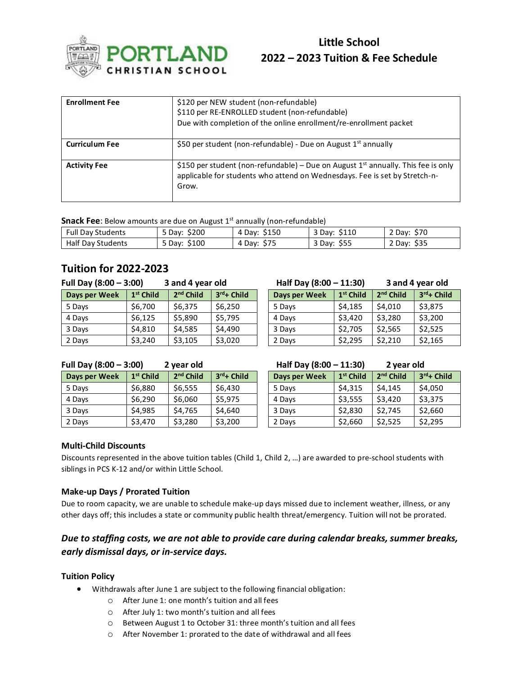

# **Little School 2022 – 2023 Tuition & Fee Schedule**

| <b>Enrollment Fee</b> | \$120 per NEW student (non-refundable)<br>\$110 per RE-ENROLLED student (non-refundable)<br>Due with completion of the online enrollment/re-enrollment packet              |
|-----------------------|----------------------------------------------------------------------------------------------------------------------------------------------------------------------------|
| <b>Curriculum Fee</b> | \$50 per student (non-refundable) - Due on August 1 <sup>st</sup> annually                                                                                                 |
| <b>Activity Fee</b>   | \$150 per student (non-refundable) – Due on August $1st$ annually. This fee is only<br>applicable for students who attend on Wednesdays. Fee is set by Stretch-n-<br>Grow. |

**Snack Fee**: Below amounts are due on August 1<sup>st</sup> annually (non-refundable)

| -------------------      |                 |                 |                 |                |  |  |
|--------------------------|-----------------|-----------------|-----------------|----------------|--|--|
| <b>Full Day Students</b> | 5 Day: \$200    | \$150<br>4 Day: | \$110<br>3 Day: | 2 Day: \$70    |  |  |
| Half Day Students        | \$100<br>5 Dav: | \$75<br>4 Day:  | \$55<br>3 Day:  | \$35<br>2 Day: |  |  |

## **Tuition for 2022-2023**

| Full Day $(8:00 - 3:00)$ |                       | 3 and 4 year old |               | Half Day (8:00 - 11:30) |             | 3 and 4 year old |              |
|--------------------------|-----------------------|------------------|---------------|-------------------------|-------------|------------------|--------------|
| Days per Week            | 1 <sup>st</sup> Child | $2nd$ Child      | $3rd$ + Child | Days per Week           | $1st$ Child | $2nd$ Child      | $3rd +$ Chil |
| 5 Days                   | \$6,700               | \$6,375          | \$6,250       | 5 Days                  | \$4,185     | \$4,010          | \$3,875      |
| 4 Days                   | \$6,125               | \$5,890          | \$5,795       | 4 Days                  | \$3,420     | \$3,280          | \$3,200      |
| 3 Days                   | \$4,810               | \$4,585          | \$4,490       | 3 Days                  | \$2,705     | \$2,565          | \$2,525      |
| 2 Days                   | \$3,240               | \$3,105          | \$3,020       | 2 Days                  | \$2,295     | \$2,210          | \$2,165      |

#### **Full Day (8:00 – 3:00) 2 year old Half Day (8:00 – 11:30) 2 year old**

| Days per Week | $1st$ Child | $2nd$ Child | $3rd + Child$ | Days per Week | $1st$ Child | $2nd$ Child | $3rd + Ch$ |
|---------------|-------------|-------------|---------------|---------------|-------------|-------------|------------|
| 5 Days        | \$6.880     | \$6.555     | \$6.430       | 5 Days        | \$4.315     | \$4.145     | \$4,050    |
| 4 Days        | \$6.290     | \$6,060     | \$5,975       | 4 Days        | \$3,555     | \$3.420     | \$3,375    |
| 3 Days        | \$4.985     | \$4,765     | \$4,640       | 3 Days        | \$2,830     | \$2,745     | \$2,660    |
| 2 Days        | \$3,470     | \$3,280     | \$3,200       | 2 Days        | \$2,660     | \$2.525     | \$2,295    |

| Half Day (8:00 - 11:30) |                       | 3 and 4 year old      |            |  |
|-------------------------|-----------------------|-----------------------|------------|--|
| Days per Week           | 1 <sup>st</sup> Child | 2 <sup>nd</sup> Child | 3rd+ Child |  |
| 5 Days                  | \$4,185               | \$4,010               | \$3,875    |  |
| 4 Days                  | \$3,420               | \$3,280               | \$3,200    |  |
| 3 Days                  | \$2,705               | \$2,565               | \$2,525    |  |
| 2 Days                  | \$2,295               | \$2,210               | \$2,165    |  |
|                         |                       |                       |            |  |

| <sup>rd</sup> + Child | Days per Week | 1 <sup>st</sup> Child | 2 <sup>nd</sup> Child | $3rd + Child$ |
|-----------------------|---------------|-----------------------|-----------------------|---------------|
| 6,430                 | 5 Days        | \$4,315               | \$4,145               | \$4,050       |
| 5,975                 | 4 Days        | \$3,555               | \$3,420               | \$3,375       |
| 4,640                 | 3 Days        | \$2,830               | \$2,745               | \$2,660       |
| 3,200                 | 2 Days        | \$2,660               | \$2,525               | \$2,295       |

#### **Multi-Child Discounts**

Discounts represented in the above tuition tables (Child 1, Child 2, …) are awarded to pre-school students with siblings in PCS K-12 and/or within Little School.

#### **Make-up Days / Prorated Tuition**

Due to room capacity, we are unable to schedule make-up days missed due to inclement weather, illness, or any other days off; this includes a state or community public health threat/emergency. Tuition will not be prorated.

### *Due to staffing costs, we are not able to provide care during calendar breaks, summer breaks, early dismissal days, or in-service days.*

#### **Tuition Policy**

- Withdrawals after June 1 are subject to the following financial obligation:
	- o After June 1: one month's tuition and all fees
		- o After July 1: two month's tuition and all fees
		- o Between August 1 to October 31: three month's tuition and all fees
		- o After November 1: prorated to the date of withdrawal and all fees